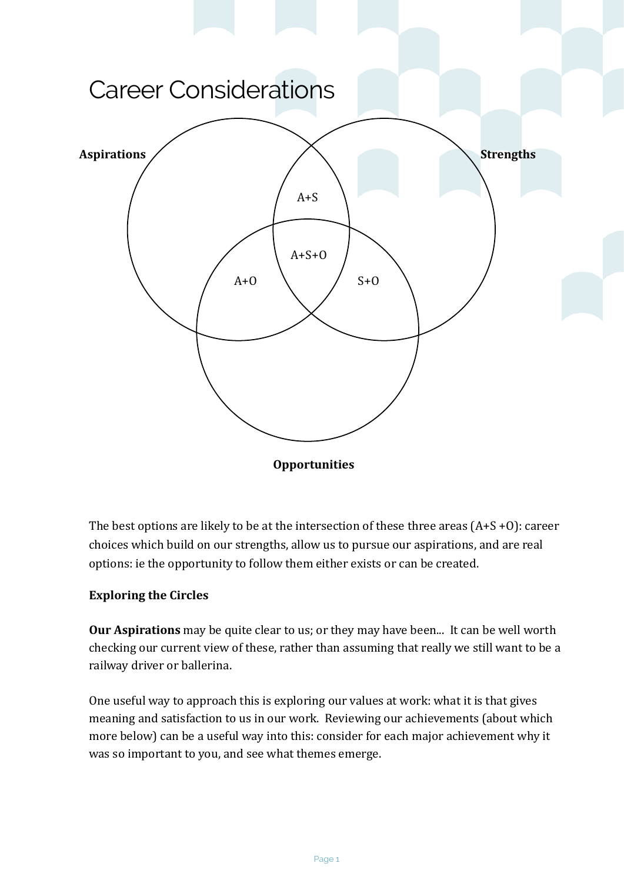

**Opportunities**

The best options are likely to be at the intersection of these three areas  $(A+S+0)$ : career choices which build on our strengths, allow us to pursue our aspirations, and are real options: ie the opportunity to follow them either exists or can be created.

## **Exploring the Circles**

**Our Aspirations** may be quite clear to us; or they may have been... It can be well worth checking our current view of these, rather than assuming that really we still want to be a railway driver or ballerina.

One useful way to approach this is exploring our values at work: what it is that gives meaning and satisfaction to us in our work. Reviewing our achievements (about which more below) can be a useful way into this: consider for each major achievement why it was so important to you, and see what themes emerge.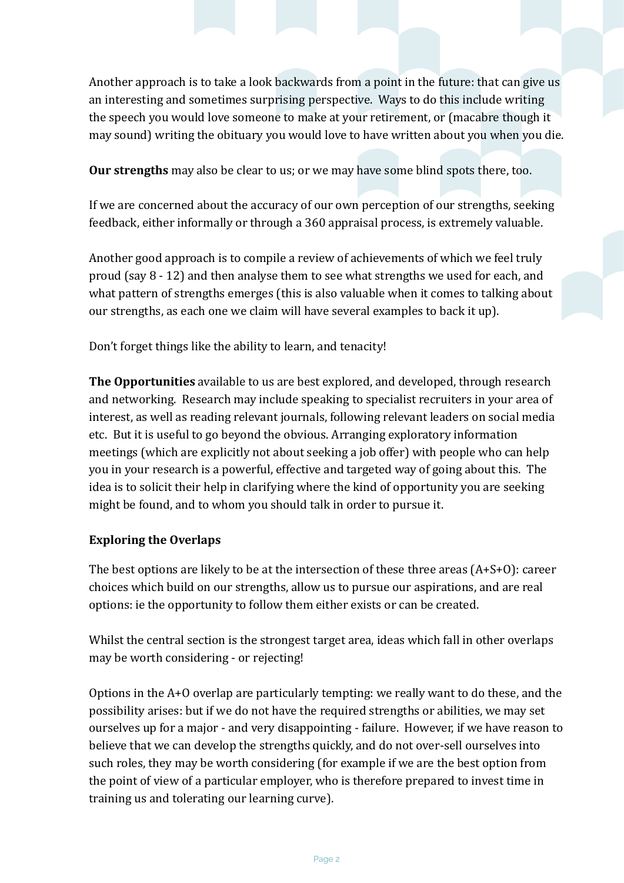Another approach is to take a look backwards from a point in the future: that can give us an interesting and sometimes surprising perspective. Ways to do this include writing the speech you would love someone to make at your retirement, or (macabre though it may sound) writing the obituary you would love to have written about you when you die.

**Our strengths** may also be clear to us; or we may have some blind spots there, too.

If we are concerned about the accuracy of our own perception of our strengths, seeking feedback, either informally or through a 360 appraisal process, is extremely valuable.

Another good approach is to compile a review of achievements of which we feel truly proud  $(say 8 - 12)$  and then analyse them to see what strengths we used for each, and what pattern of strengths emerges (this is also valuable when it comes to talking about our strengths, as each one we claim will have several examples to back it up).

Don't forget things like the ability to learn, and tenacity!

**The Opportunities** available to us are best explored, and developed, through research and networking. Research may include speaking to specialist recruiters in your area of interest, as well as reading relevant journals, following relevant leaders on social media etc. But it is useful to go beyond the obvious. Arranging exploratory information meetings (which are explicitly not about seeking a job offer) with people who can help you in your research is a powerful, effective and targeted way of going about this. The idea is to solicit their help in clarifying where the kind of opportunity you are seeking might be found, and to whom you should talk in order to pursue it.

## **Exploring the Overlaps**

The best options are likely to be at the intersection of these three areas  $(A+S+O)$ : career choices which build on our strengths, allow us to pursue our aspirations, and are real options: ie the opportunity to follow them either exists or can be created.

Whilst the central section is the strongest target area, ideas which fall in other overlaps may be worth considering - or rejecting!

Options in the  $A+O$  overlap are particularly tempting: we really want to do these, and the possibility arises: but if we do not have the required strengths or abilities, we may set ourselves up for a major - and very disappointing - failure. However, if we have reason to believe that we can develop the strengths quickly, and do not over-sell ourselves into such roles, they may be worth considering (for example if we are the best option from the point of view of a particular employer, who is therefore prepared to invest time in training us and tolerating our learning curve).